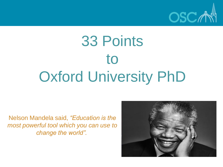

# 33 Points to Oxford University PhD

Nelson Mandela said, *"Education is the most powerful tool which you can use to change the world".*

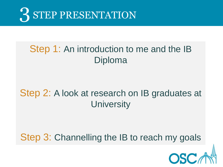

#### Step 1: An introduction to me and the IB Diploma

#### Step 2: A look at research on IB graduates at **University**

#### Step 3: Channelling the IB to reach my goals

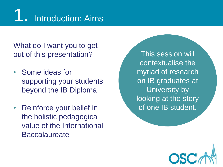

What do I want you to get out of this presentation?

- Some ideas for supporting your students beyond the IB Diploma
- Reinforce your belief in the holistic pedagogical value of the International **Baccalaureate**

This session will contextualise the myriad of research on IB graduates at University by looking at the story of one IB student.

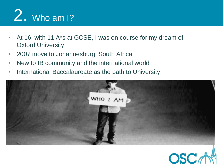# **2.** Who am 1?

- At 16, with 11 A<sup>\*</sup>s at GCSE, I was on course for my dream of Oxford University
- 2007 move to Johannesburg, South Africa
- New to IB community and the international world
- International Baccalaureate as the path to University



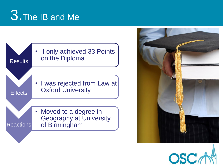## 3. The IB and Me





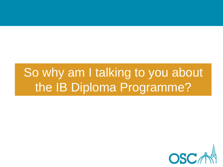### So why am I talking to you about the IB Diploma Programme?

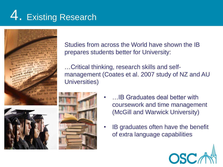## 4. Existing Research



Studies from across the World have shown the IB prepares students better for University:

…Critical thinking, research skills and selfmanagement (Coates et al. 2007 study of NZ and AU Universities)



- …IB Graduates deal better with coursework and time management (McGill and Warwick University)
- IB graduates often have the benefit of extra language capabilities

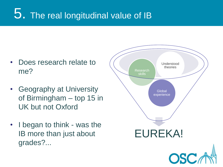#### 5. The real longitudinal value of IB

- Does research relate to me?
- Geography at University of Birmingham – top 15 in UK but not Oxford
- I began to think was the IB more than just about grades?...

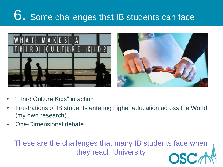## 6. Some challenges that IB students can face



- "Third Culture Kids" in action
- Frustrations of IB students entering higher education across the World (my own research)
- One-Dimensional debate

These are the challenges that many IB students face when they reach University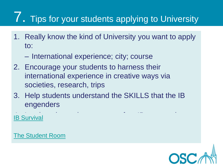## **7.** Tips for your students applying to University

- 1. Really know the kind of University you want to apply to:
	- International experience; city; course
- 2. Encourage your students to harness their international experience in creative ways via societies, research, trips
- 3. Help students understand the SKILLS that the IB engenders

**[IB Survival](http://www.ibsurvival.com/)** 

[The Student Room](http://www.thestudentroom.co.uk/forumdisplay.php?f=10)

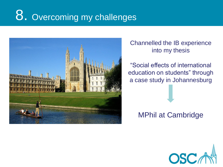## 8. Overcoming my challenges



#### Channelled the IB experience into my thesis

"Social effects of international education on students" through a case study in Johannesburg

MPhil at Cambridge

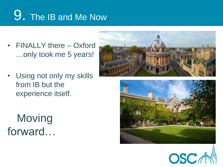## 9. The IB and Me Now

- FINALLY there Oxford …only took me 5 years!
- Using not only my skills from IB but the experience itself.

 Moving forward…





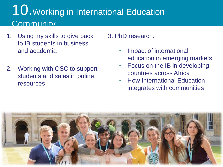#### 10.Working in International Education **Community**

- 1. Using my skills to give back to IB students in business and academia
- 2. Working with OSC to support students and sales in online resources

3. PhD research:

- Impact of international education in emerging markets
- Focus on the IB in developing countries across Africa
- How International Education integrates with communities

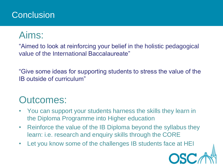#### **Conclusion**

#### Aims:

"Aimed to look at reinforcing your belief in the holistic pedagogical value of the International Baccalaureate"

"Give some ideas for supporting students to stress the value of the IB outside of curriculum"

#### Outcomes:

- You can support your students harness the skills they learn in the Diploma Programme into Higher education
- Reinforce the value of the IB Diploma beyond the syllabus they learn: i.e. research and enquiry skills through the CORE
- Let you know some of the challenges IB students face at HEI